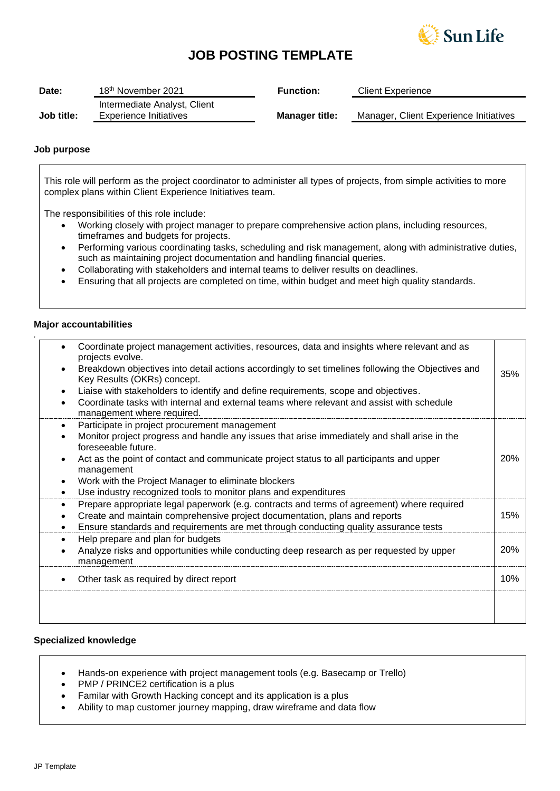

# **JOB POSTING TEMPLATE**

| Date:      | 18 <sup>th</sup> November 2021 | <b>Function:</b>      | <b>Client Experience</b>               |
|------------|--------------------------------|-----------------------|----------------------------------------|
|            | Intermediate Analyst, Client   |                       |                                        |
| Job title: | Experience Initiatives         | <b>Manager title:</b> | Manager, Client Experience Initiatives |

### **Job purpose**

This role will perform as the project coordinator to administer all types of projects, from simple activities to more complex plans within Client Experience Initiatives team.

The responsibilities of this role include:

- Working closely with project manager to prepare comprehensive action plans, including resources, timeframes and budgets for projects.
- Performing various coordinating tasks, scheduling and risk management, along with administrative duties, such as maintaining project documentation and handling financial queries.
- Collaborating with stakeholders and internal teams to deliver results on deadlines.
- Ensuring that all projects are completed on time, within budget and meet high quality standards.

### **Major accountabilities**

*.*

|           | Coordinate project management activities, resources, data and insights where relevant and as<br>projects evolve.                  |            |
|-----------|-----------------------------------------------------------------------------------------------------------------------------------|------------|
|           | Breakdown objectives into detail actions accordingly to set timelines following the Objectives and<br>Key Results (OKRs) concept. | 35%        |
|           | Liaise with stakeholders to identify and define requirements, scope and objectives.                                               |            |
|           | Coordinate tasks with internal and external teams where relevant and assist with schedule<br>management where required.           |            |
| $\bullet$ | Participate in project procurement management                                                                                     |            |
|           | Monitor project progress and handle any issues that arise immediately and shall arise in the<br>foreseeable future.               |            |
|           | Act as the point of contact and communicate project status to all participants and upper<br>management                            | <b>20%</b> |
| $\bullet$ | Work with the Project Manager to eliminate blockers                                                                               |            |
| $\bullet$ | Use industry recognized tools to monitor plans and expenditures                                                                   |            |
| $\bullet$ | Prepare appropriate legal paperwork (e.g. contracts and terms of agreement) where required                                        |            |
|           | Create and maintain comprehensive project documentation, plans and reports                                                        | 15%        |
| $\bullet$ | Ensure standards and requirements are met through conducting quality assurance tests                                              |            |
| $\bullet$ | Help prepare and plan for budgets                                                                                                 |            |
| $\bullet$ | Analyze risks and opportunities while conducting deep research as per requested by upper<br>management                            | <b>20%</b> |
|           | Other task as required by direct report                                                                                           | 10%        |
|           |                                                                                                                                   |            |
|           |                                                                                                                                   |            |

### **Specialized knowledge**

- Hands-on experience with project management tools (e.g. Basecamp or Trello)
- PMP / PRINCE2 certification is a plus
- Familar with Growth Hacking concept and its application is a plus
- Ability to map customer journey mapping, draw wireframe and data flow